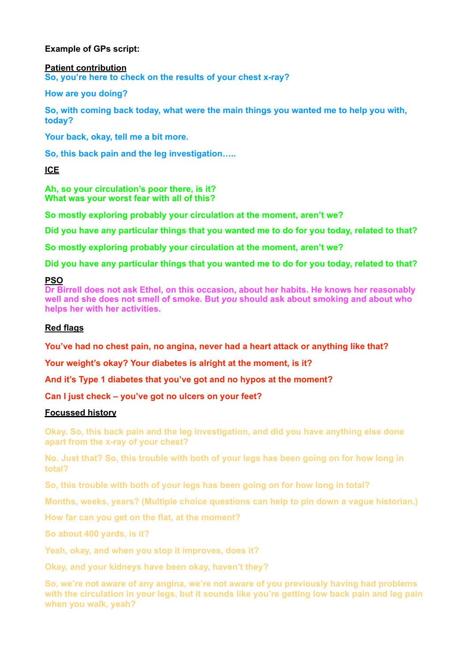# **Example of GPs script:**

#### **Patient contribution**

**So, you're here to check on the results of your chest x-ray?** 

**How are you doing?** 

**So, with coming back today, what were the main things you wanted me to help you with, today?** 

**Your back, okay, tell me a bit more.** 

**So, this back pain and the leg investigation…..** 

**ICE** 

**Ah, so your circulation's poor there, is it? What was your worst fear with all of this?** 

**So mostly exploring probably your circulation at the moment, aren't we?** 

**Did you have any particular things that you wanted me to do for you today, related to that?** 

**So mostly exploring probably your circulation at the moment, aren't we?** 

**Did you have any particular things that you wanted me to do for you today, related to that?** 

### **PSO**

**Dr Birrell does not ask Ethel, on this occasion, about her habits. He knows her reasonably well and she does not smell of smoke. But** *you* **should ask about smoking and about who helps her with her activities.** 

## **Red flags**

**You've had no chest pain, no angina, never had a heart attack or anything like that?** 

**Your weight's okay? Your diabetes is alright at the moment, is it?** 

**And it's Type 1 diabetes that you've got and no hypos at the moment?** 

**Can I just check – you've got no ulcers on your feet?** 

# **Focussed history**

**Okay. So, this back pain and the leg investigation, and did you have anything else done apart from the x-ray of your chest?** 

**No. Just that? So, this trouble with both of your legs has been going on for how long in total?**

**So, this trouble with both of your legs has been going on for how long in total?** 

**Months, weeks, years? (Multiple choice questions can help to pin down a vague historian.)** 

**How far can you get on the flat, at the moment?** 

**So about 400 yards, is it?** 

**Yeah, okay, and when you stop it improves, does it?** 

**Okay, and your kidneys have been okay, haven't they?** 

**So, we're not aware of any angina, we're not aware of you previously having had problems with the circulation in your legs, but it sounds like you're getting low back pain and leg pain when you walk, yeah?**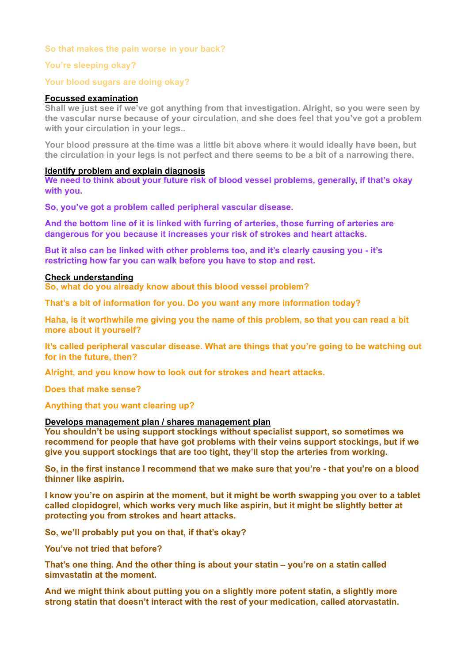## **So that makes the pain worse in your back?**

## **You're sleeping okay?**

### **Your blood sugars are doing okay?**

### **Focussed examination**

**Shall we just see if we've got anything from that investigation. Alright, so you were seen by the vascular nurse because of your circulation, and she does feel that you've got a problem with your circulation in your legs..** 

**Your blood pressure at the time was a little bit above where it would ideally have been, but the circulation in your legs is not perfect and there seems to be a bit of a narrowing there.**

### **Identify problem and explain diagnosis**

**We need to think about your future risk of blood vessel problems, generally, if that's okay with you.** 

**So, you've got a problem called peripheral vascular disease.** 

**And the bottom line of it is linked with furring of arteries, those furring of arteries are dangerous for you because it increases your risk of strokes and heart attacks.** 

**But it also can be linked with other problems too, and it's clearly causing you - it's restricting how far you can walk before you have to stop and rest.**

#### **Check understanding**

**So, what do you already know about this blood vessel problem?** 

**That's a bit of information for you. Do you want any more information today?** 

**Haha, is it worthwhile me giving you the name of this problem, so that you can read a bit more about it yourself?** 

**It's called peripheral vascular disease. What are things that you're going to be watching out for in the future, then?** 

**Alright, and you know how to look out for strokes and heart attacks.** 

**Does that make sense?** 

**Anything that you want clearing up?**

#### **Develops management plan / shares management plan**

**You shouldn't be using support stockings without specialist support, so sometimes we recommend for people that have got problems with their veins support stockings, but if we give you support stockings that are too tight, they'll stop the arteries from working.** 

**So, in the first instance I recommend that we make sure that you're - that you're on a blood thinner like aspirin.** 

**I know you're on aspirin at the moment, but it might be worth swapping you over to a tablet called clopidogrel, which works very much like aspirin, but it might be slightly better at protecting you from strokes and heart attacks.** 

**So, we'll probably put you on that, if that's okay?** 

**You've not tried that before?** 

**That's one thing. And the other thing is about your statin – you're on a statin called simvastatin at the moment.** 

**And we might think about putting you on a slightly more potent statin, a slightly more strong statin that doesn't interact with the rest of your medication, called atorvastatin.**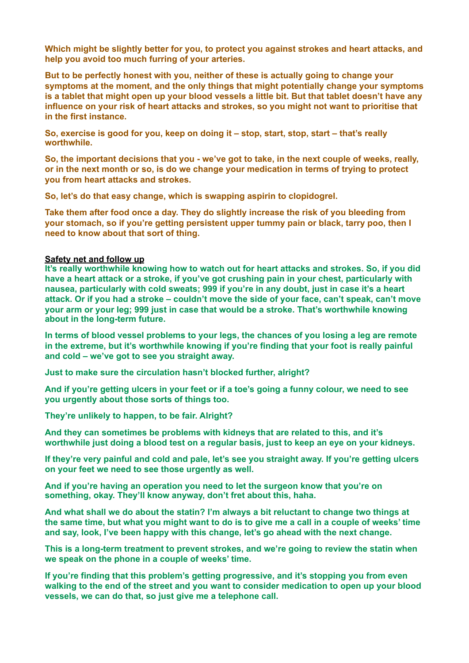**Which might be slightly better for you, to protect you against strokes and heart attacks, and help you avoid too much furring of your arteries.** 

**But to be perfectly honest with you, neither of these is actually going to change your symptoms at the moment, and the only things that might potentially change your symptoms is a tablet that might open up your blood vessels a little bit. But that tablet doesn't have any influence on your risk of heart attacks and strokes, so you might not want to prioritise that in the first instance.** 

**So, exercise is good for you, keep on doing it – stop, start, stop, start – that's really worthwhile.** 

**So, the important decisions that you - we've got to take, in the next couple of weeks, really, or in the next month or so, is do we change your medication in terms of trying to protect you from heart attacks and strokes.** 

**So, let's do that easy change, which is swapping aspirin to clopidogrel.** 

**Take them after food once a day. They do slightly increase the risk of you bleeding from your stomach, so if you're getting persistent upper tummy pain or black, tarry poo, then I need to know about that sort of thing.**

### **Safety net and follow up**

**It's really worthwhile knowing how to watch out for heart attacks and strokes. So, if you did have a heart attack or a stroke, if you've got crushing pain in your chest, particularly with nausea, particularly with cold sweats; 999 if you're in any doubt, just in case it's a heart attack. Or if you had a stroke – couldn't move the side of your face, can't speak, can't move your arm or your leg; 999 just in case that would be a stroke. That's worthwhile knowing about in the long-term future.** 

**In terms of blood vessel problems to your legs, the chances of you losing a leg are remote in the extreme, but it's worthwhile knowing if you're finding that your foot is really painful and cold – we've got to see you straight away.** 

**Just to make sure the circulation hasn't blocked further, alright?** 

**And if you're getting ulcers in your feet or if a toe's going a funny colour, we need to see you urgently about those sorts of things too.** 

**They're unlikely to happen, to be fair. Alright?** 

**And they can sometimes be problems with kidneys that are related to this, and it's worthwhile just doing a blood test on a regular basis, just to keep an eye on your kidneys.** 

**If they're very painful and cold and pale, let's see you straight away. If you're getting ulcers on your feet we need to see those urgently as well.** 

**And if you're having an operation you need to let the surgeon know that you're on something, okay. They'll know anyway, don't fret about this, haha.** 

**And what shall we do about the statin? I'm always a bit reluctant to change two things at the same time, but what you might want to do is to give me a call in a couple of weeks' time and say, look, I've been happy with this change, let's go ahead with the next change.** 

**This is a long-term treatment to prevent strokes, and we're going to review the statin when we speak on the phone in a couple of weeks' time.** 

**If you're finding that this problem's getting progressive, and it's stopping you from even walking to the end of the street and you want to consider medication to open up your blood vessels, we can do that, so just give me a telephone call.**